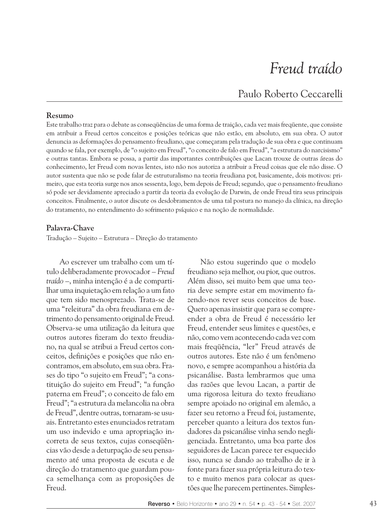# Freud traído

Paulo Roberto Ceccarelli

#### Resumo

Este trabalho traz para o debate as conseqüências de uma forma de traição, cada vez mais freqüente, que consiste em atribuir a Freud certos conceitos e posições teóricas que não estão, em absoluto, em sua obra. O autor denuncia as deformações do pensamento freudiano, que começaram pela tradução de sua obra e que continuam quando se fala, por exemplo, de "o sujeito em Freud", "o conceito de falo em Freud", "a estrutura do narcisismo" e outras tantas. Embora se possa, a partir das importantes contribuições que Lacan trouxe de outras áreas do conhecimento, ler Freud com novas lentes, isto não nos autoriza a atribuir a Freud coisas que ele não disse. O autor sustenta que não se pode falar de estruturalismo na teoria freudiana por, basicamente, dois motivos: primeiro, que esta teoria surge nos anos sessenta, logo, bem depois de Freud; segundo, que o pensamento freudiano só pode ser devidamente apreciado a partir da teoria da evolução de Darwin, de onde Freud tira seus principais conceitos. Finalmente, o autor discute os desdobramentos de uma tal postura no manejo da clínica, na direção do tratamento, no entendimento do sofrimento psíquico e na nocão de normalidade.

## Palavra-Chave

Tradução - Sujeito - Estrutura - Direção do tratamento

Ao escrever um trabalho com um título deliberadamente provocador - Freud traído -, minha intenção é a de compartilhar uma inquietação em relação a um fato que tem sido menosprezado. Trata-se de uma "releitura" da obra freudiana em detrimento do pensamento original de Freud. Observa-se uma utilização da leitura que outros autores fizeram do texto freudiano, na qual se atribui a Freud certos conceitos, definições e posições que não encontramos, em absoluto, em sua obra. Frases do tipo "o sujeito em Freud"; "a constituição do sujeito em Freud"; "a função paterna em Freud"; o conceito de falo em Freud"; "a estrutura da melancolia na obra de Freud", dentre outras, tornaram-se usuais. Entretanto estes enunciados retratam um uso indevido e uma apropriação incorreta de seus textos, cujas consequências vão desde a deturpação de seu pensamento até uma proposta de escuta e de direção do tratamento que guardam pouca semelhança com as proposições de Freud.

Não estou sugerindo que o modelo freudiano seja melhor, ou pior, que outros. Além disso, sei muito bem que uma teoria deve sempre estar em movimento fazendo-nos rever seus conceitos de base. Quero apenas insistir que para se compreender a obra de Freud é necessário ler Freud, entender seus limites e questões, e não, como vem acontecendo cada vez com mais freqüência, "ler" Freud através de outros autores. Este não é um fenômeno novo, e sempre acompanhou a história da psicanálise. Basta lembrarmos que uma das razões que levou Lacan, a partir de uma rigorosa leitura do texto freudiano sempre apoiado no original em alemão, a fazer seu retorno a Freud foi, justamente, perceber quanto a leitura dos textos fundadores da psicanálise vinha sendo negligenciada. Entretanto, uma boa parte dos seguidores de Lacan parece ter esquecido isso, nunca se dando ao trabalho de ir à fonte para fazer sua própria leitura do texto e muito menos para colocar as questões que lhe parecem pertinentes. Simples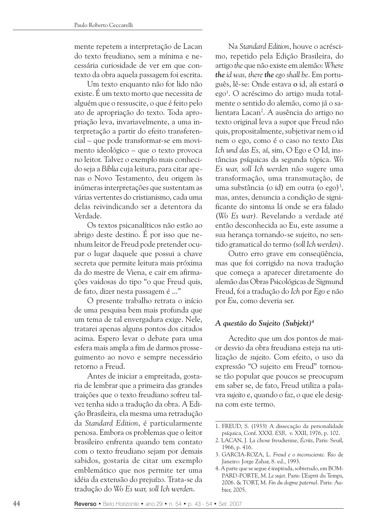mente repetem a interpretação de Lacan do texto freudiano, sem a mínima e necessária curiosidade de ver em que contexto da obra aquela passagem foi escrita.

Um texto enquanto não for lido não existe. É um texto morto que necessita de alguém que o ressuscite, o que é feito pelo ato de apropriação do texto. Toda apropriação leva, invariavelmente, a uma interpretação a partir do efeito transferencial – que pode transformar-se em movimento ideológico – que o texto provoca no leitor. Talvez o exemplo mais conhecido seja a Bíblia cuja leitura, para citar apenas o Novo Testamento, deu origem às inúmeras interpretações que sustentam as várias vertentes do cristianismo, cada uma delas reivindicando ser a detentora da Verdade.

Os textos psicanalíticos não estão ao abrigo deste destino. É por isso que nenhum leitor de Freud pode pretender ocupar o lugar daquele que possui a chave secreta que permite leitura mais próxima da do mestre de Viena, e cair em afirmações vaidosas do tipo "o que Freud quis, de fato, dizer nesta passagem é ..."

O presente trabalho retrata o início de uma pesquisa bem mais profunda que um tema de tal envergadura exige. Nele, tratarei apenas alguns pontos dos citados acima. Espero levar o debate para uma esfera mais ampla a fim de darmos prosseguimento ao novo e sempre necessário retorno a Freud.

Antes de iniciar a empreitada, gostaria de lembrar que a primeira das grandes traições que o texto freudiano sofreu talvez tenha sido a tradução da obra. A Edição Brasileira, ela mesma uma retradução da Standard Edition, é particularmente penosa. Embora os problemas que o leitor brasileiro enfrenta quando tem contato com o texto freudiano sejam por demais sabidos, gostaria de citar um exemplo emblemático que nos permite ter uma idéia da extensão do prejuízo. Trata-se da tradução do Wo Es war, soll Ich werden.

Na Standard Edition, houve o acréscimo, repetido pela Edição Brasileira, do artigo the que não existe em alemão: Where the id was, there the ego shall be. Em português, lê-se: Onde estava o id, ali estará o ego<sup>1</sup>. O acréscimo do artigo muda totalmente o sentido do alemão, como já o salientara Lacan<sup>2</sup>. A ausência do artigo no texto original leva a supor que Freud não quis, propositalmente, subjetivar nem o id nem o ego, como é o caso no texto Das Ich und das Es, aí, sim, O Ego e O Id, instâncias psíquicas da segunda tópica. Wo Es war, soll Ich werden não sugere uma transformação, uma transmutação, de uma substância (o id) em outra (o ego)<sup>3</sup>, mas, antes, denuncia a condição de significante do sintoma lá onde se era falado (Wo Es war). Revelando a verdade até então desconhecida ao Eu, este assume a sua herança tornando-se sujeito, no sentido gramatical do termo (soll Ich werden).

Outro erro grave em consequência, mas que foi corrigido na nova tradução que começa a aparecer diretamente do alemão das Obras Psicológicas de Sigmund Freud, foi a tradução do Ich por Ego e não por Eu, como deveria ser.

# A questão do Sujeito (Subjekt)<sup>4</sup>

Acredito que um dos pontos de maior desvio da obra freudiana esteja na utilização de sujeito. Com efeito, o uso da expressão "O sujeito em Freud" tornouse tão popular que poucos se preocupam em saber se, de fato, Freud utiliza a palavra sujeito e, quando o faz, o que ele designa com este termo.

<sup>1.</sup> FREUD, S. (1933) A dissecação da personalidade psíquica, Conf. XXXI. ESB, v. XXII, 1976, p. 102.

<sup>2.</sup> LACAN, J. La chose freudienne, Écrits, Paris: Seuil, 1966, p. 416.

<sup>3.</sup> GARCIA-ROZA, L. Freud e o inconsciente. Rio de Janeiro: Jorge Zahar, 8. ed., 1993.

<sup>4.</sup> A parte que se segue é inspirada, sobretudo, em BOM-PARD-PORTE, M. Le sujet. Paris: L'Esprit du Temps, 2006. & TORT, M. Fin du dogme paternel. Paris: Aubier, 2005.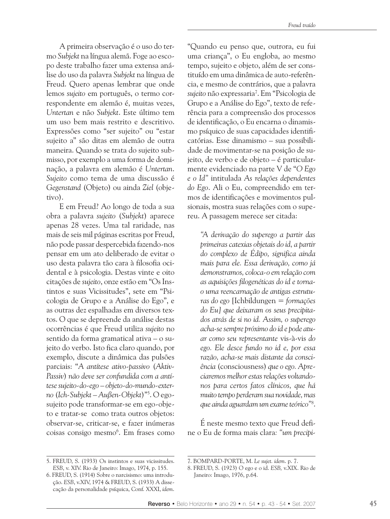A primeira observação é o uso do termo Subjekt na língua alemã. Foge ao escopo deste trabalho fazer uma extensa análise do uso da palavra Subjekt na língua de Freud. Quero apenas lembrar que onde lemos sujeito em português, o termo correspondente em alemão é, muitas vezes, Untertan e não Subjekt. Este último tem um uso bem mais restrito e descritivo. Expressões como "ser sujeito" ou "estar sujeito a" são ditas em alemão de outra maneira. Quando se trata do sujeito submisso, por exemplo a uma forma de dominação, a palavra em alemão é Untertan. Sujeito como tema de uma discussão é Gegenstand (Objeto) ou ainda Ziel (obje $tiv<sub>o</sub>$ ).

E em Freud? Ao longo de toda a sua obra a palavra sujeito (Subjekt) aparece apenas 28 vezes. Uma tal raridade, nas mais de seis mil páginas escritas por Freud, não pode passar despercebida fazendo-nos pensar em um ato deliberado de evitar o uso desta palavra tão cara à filosofia ocidental e à psicologia. Destas vinte e oito citações de sujeito, onze estão em "Os Instintos e suas Vicissitudes", sete em "Psicologia de Grupo e a Análise do Ego", e as outras dez espalhadas em diversos textos. O que se depreende da análise destas ocorrências é que Freud utiliza sujeito no sentido da forma gramatical ativa - o sujeito do verbo. Isto fica claro quando, por exemplo, discute a dinâmica das pulsões parciais: "A antítese ativo-passivo (Aktiv-Passiv) não deve ser confundida com a antítese sujeito-do-ego - objeto-do-mundo-externo (Ich-Subjekt – Außen-Objekt)"5. O egosujeito pode transformar-se em ego-objeto e tratar-se como trata outros objetos: observar-se, criticar-se, e fazer inúmeras coisas consigo mesmo<sup>6</sup>. Em frases como

"Quando eu penso que, outrora, eu fui uma criança", o Eu engloba, ao mesmo tempo, sujeito e objeto, além de ser constituído em uma dinâmica de auto-referência, e mesmo de contrários, que a palavra sujeito não expressaria<sup>7</sup>. Em "Psicologia de Grupo e a Análise do Ego", texto de referência para a compreensão dos processos de identificação, o Eu encarna o dinamismo psíquico de suas capacidades identificatórias. Esse dinamismo - sua possibilidade de movimentar-se na posição de sujeito, de verbo e de objeto - é particularmente evidenciado na parte V de "O Ego e o Id" intitulada As relações dependentes do Ego. Ali o Eu, compreendido em termos de identificações e movimentos pulsionais, mostra suas relações com o supereu. A passagem merece ser citada:

"A derivação do superego a partir das primeiras catexias objetais do id, a partir do complexo de Édipo, significa ainda mais para ele. Essa derivação, como já demonstramos, coloca-o em relação com as aquisições filogenéticas do id e tornao uma reencarnação de antigas estruturas do ego [Ichbildungen = formações do Eul que deixaram os seus precipitados atrás de si no id. Assim, o superego acha-se sempre próximo do id e pode atuar como seu representante vis-à-vis do ego. Ele desce fundo no id e, por essa razão, acha-se mais distante da consciência (consciousness) que o ego. Apreciaremos melhor estas relações voltandonos para certos fatos clínicos, que há muito tempo perderam sua novidade, mas que ainda aguardam um exame teórico"<sup>8</sup>.

É neste mesmo texto que Freud define o Eu de forma mais clara: "um precipi-

<sup>5.</sup> FREUD, S. (1933) Os instintos e suas vicissitudes. ESB, v. XIV. Rio de Janeiro: Imago, 1974, p. 155.

<sup>6.</sup> FREUD, S. (1914) Sobre o narcisismo: uma introdução. ESB, v.XIV, 1974 & FREUD, S. (1933) A dissecação da personalidade psíquica, Conf. XXXI, idem.

<sup>7.</sup> BOMPARD-PORTE, M. Le sujet. idem. p. 7.

<sup>8.</sup> FREUD, S. (1923) O ego e o id. ESB, v.XIX. Rio de Janeiro: Imago, 1976, p.64.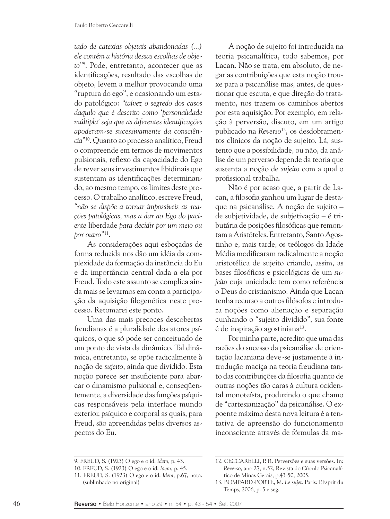tado de catexias objetais abandonadas (...) ele contém a história dessas escolhas de obieto"<sup>9</sup>. Pode, entretanto, acontecer que as identificações, resultado das escolhas de objeto, levem a melhor provocando uma "ruptura do ego", e ocasionando um estado patológico: "talvez o segredo dos casos daquilo que é descrito como 'personalidade múltipla' seja que as diferentes identificações aboderam-se sucessivamente da consciência"<sup>10</sup>. Quanto ao processo analítico, Freud o compreende em termos de movimentos pulsionais, reflexo da capacidade do Ego de rever seus investimentos libidinais que sustentam as identificações determinando, ao mesmo tempo, os limites deste processo. O trabalho analítico, escreve Freud. "não se dispõe a tornar impossíveis as reações patológicas, mas a dar ao Ego do paciente liberdade para decidir por um meio ou bor outro"<sup>11</sup>.

As considerações aqui esboçadas de forma reduzida nos dão um idéia da complexidade da formação da instância do Eu e da importância central dada a ela por Freud. Todo este assunto se complica ainda mais se levarmos em conta a participação da aquisição filogenética neste processo. Retomarei este ponto.

Uma das mais precoces descobertas freudianas é a pluralidade dos atores psíquicos, o que só pode ser conceituado de um ponto de vista da dinâmico. Tal dinâmica, entretanto, se opõe radicalmente à noção de sujeito, ainda que dividido. Esta noção parece ser insuficiente para abarcar o dinamismo pulsional e, consequentemente, a diversidade das funções psíquicas responsáveis pela interface mundo exterior, psíquico e corporal as quais, para Freud, são apreendidas pelos diversos aspectos do Eu.

A noção de sujeito foi introduzida na teoria psicanalítica, todo sabemos, por Lacan. Não se trata, em absoluto, de negar as contribuições que esta noção trouxe para a psicanálise mas, antes, de questionar que escuta, e que direção do tratamento, nos trazem os caminhos abertos por esta aquisição. Por exemplo, em relação à perversão, discuto, em um artigo publicado na Reverso<sup>12</sup>, os desdobramentos clínicos da noção de sujeito. Lá, sustento que a possibilidade, ou não, da análise de um perverso depende da teoria que sustenta a noção de sujeito com a qual o profissional trabalha.

Não é por acaso que, a partir de Lacan, a filosofia ganhou um lugar de destaque na psicanálise. A noção de sujeito de subjetividade, de subjetivação - é tributária de posições filosóficas que remontam a Aristóteles. Entretanto, Santo Agostinho e, mais tarde, os teólogos da Idade Média modificaram radicalmente a noção aristotélica de sujeito criando, assim, as bases filosóficas e psicológicas de um sujeito cuja unicidade tem como referência o Deus do cristianismo. Ainda que Lacan tenha recurso a outros filósofos e introduza noções como alienação e separação cunhando o "sujeito dividido", sua fonte é de inspiração agostiniana<sup>13</sup>.

Por minha parte, acredito que uma das razões do sucesso da psicanálise de orientação lacaniana deve-se justamente à introdução maciça na teoria freudiana tanto das contribuições da filosofia quanto de outras noções tão caras à cultura ocidental monoteísta, produzindo o que chamo de "cartesianização" da psicanálise. O expoente máximo desta nova leitura é a tentativa de apreensão do funcionamento inconsciente através de fórmulas da ma-

<sup>9.</sup> FREUD, S. (1923) O ego e o id. Idem, p. 43.

<sup>10.</sup> FREUD, S. (1923) O ego e o id. Idem, p. 45.

<sup>11.</sup> FREUD, S. (1923) O ego e o id. Idem, p.67, nota. (sublinhado no original)

<sup>12.</sup> CECCARELLI, P. R. Perversões e suas versões. In: Reverso, ano 27, n.52, Revista do Círculo Psicanalítico de Minas Gerais, p.43-50, 2005.

<sup>13.</sup> BOMPARD-PORTE, M. Le sujet. Paris: L'Esprit du Temps, 2006, p. 5 e seg.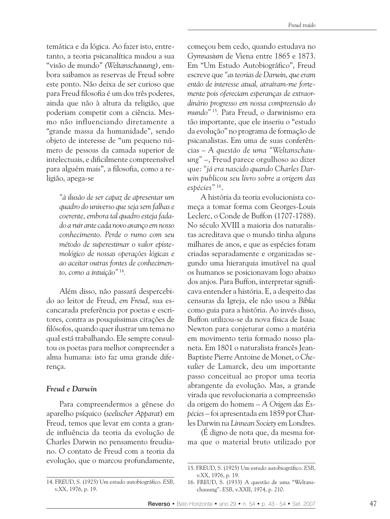temática e da lógica. Ao fazer isto, entretanto, a teoria psicanalítica mudou a sua "visão de mundo" (Weltanschauung), embora saibamos as reservas de Freud sobre este ponto. Não deixa de ser curioso que para Freud filosofia é um dos três poderes, ainda que não à altura da religião, que poderiam competir com a ciência. Mesmo não influenciando diretamente a "grande massa da humanidade", sendo objeto de interesse de "um pequeno número de pessoas da camada superior de intelectuais, e dificilmente compreensível para alguém mais", a filosofia, como a religião, apega-se

> "à ilusão de ser capaz de apresentar um quadro do universo que seja sem falhas e coerente, embora tal quadro esteja fadado a ruir ante cada novo avanco em nosso conhecimento. Perde o rumo com seu método de superestimar o valor epistemológico de nossas operações lógicas e ao aceitar outras fontes de conhecimento, como a intuição" 14.

Além disso, não passará despercebido ao leitor de Freud, em Freud, sua escancarada preferência por poetas e escritores, contra as pouquíssimas citações de filósofos, quando quer ilustrar um tema no qual está trabalhando. Ele sempre consultou os poetas para melhor compreender a alma humana: isto faz uma grande diferença.

## Freud e Darwin

Para compreendermos a gênese do aparelho psíquico (seelischer Apparat) em Freud, temos que levar em conta a grande influência da teoria da evolução de Charles Darwin no pensamento freudiano. O contato de Freud com a teoria da evolução, que o marcou profundamente, começou bem cedo, quando estudava no Gymnasium de Viena entre 1865 e 1873. Em "Um Estudo Autobiográfico", Freud escreve que "as teorias de Darwin, que eram então de interesse atual, atraíram-me fortemente pois ofereciam esperanças de extraordinário progresso em nossa compreensão do mundo"<sup>15</sup>. Para Freud, o darwinismo era tão importante, que ele inseriu o "estudo da evolução" no programa de formação de psicanalistas. Em uma de suas conferências - A questão de uma "Weltanschauung" –, Freud parece orgulhoso ao dizer que: "já era nascido quando Charles Darwin publicou seu livro sobre a origem das espécies" 16.

A história da teoria evolucionista começa a tomar forma com Georges-Louis Leclerc, o Conde de Buffon (1707-1788). No século XVIII a maioria dos naturalistas acreditava que o mundo tinha alguns milhares de anos, e que as espécies foram criadas separadamente e organizadas segundo uma hierarquia imutável na qual os humanos se posicionavam logo abaixo dos anjos. Para Buffon, interpretar significava entender a história. E, a despeito das censuras da Igreja, ele não usou a Bíblia como guia para a história. Ao invés disso, Buffon utilizou-se da nova física de Isaac Newton para conjeturar como a matéria em movimento teria formado nosso planeta. Em 1801 o naturalista francês Iean-Baptiste Pierre Antoine de Monet, o Chevalier de Lamarck, deu um importante passo conceitual ao propor uma teoria abrangente da evolução. Mas, a grande virada que revolucionaria a compreensão da origem do homem - A Origem das Espécies - foi apresentada em 1859 por Charles Darwin na Linnean Society em Londres.

(É digno de nota que, da mesma forma que o material bruto utilizado por

<sup>14.</sup> FREUD, S. (1925) Um estudo autobiográfico. ESB, v.XX, 1976, p. 19.

<sup>15.</sup> FREUD, S. (1925) Um estudo autobiográfico. ESB, v.XX, 1976, p. 19.

<sup>16.</sup> FREUD, S. (1933) A questão de uma "Weltanschauung". ESB, v.XXII, 1974, p. 210.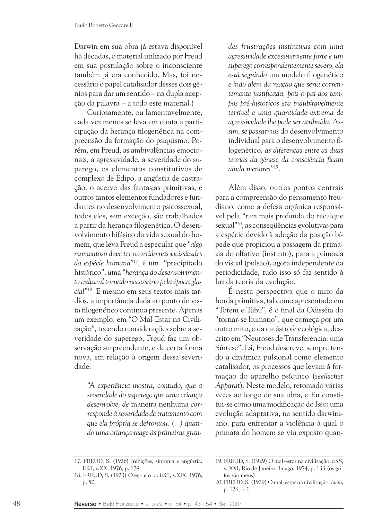Darwin em sua obra já estava disponível há décadas, o material utilizado por Freud em sua postulação sobre o inconsciente também já era conhecido. Mas, foi necessário o papel catalisador desses dois gênios para dar um sentido – na dupla acepção da palavra - a todo este material.)

Curiosamente, ou lamentavelmente, cada vez menos se leva em conta a participação da herança filogenética na compreensão da formação do psiquismo. Porém, em Freud, as ambivalências emocionais, a agressividade, a severidade do superego, os elementos constitutivos de complexo de Édipo, a angústia de castração, o acervo das fantasias primitivas, e outros tantos elementos fundadores e fundantes no desenvolvimento psicossexual, todos eles, sem exceção, são trabalhados a partir da heranca filogenética. O desenvolvimento bifásico da vida sexual do homem, que leva Freud a especular que "algo momentoso deve ter ocorrido nas vicissitudes da espécie humana"<sup>17</sup>, é um "precipitado histórico", uma "herança do desenvolvimento cultural tornado necessário bela éboca glacial"<sup>18</sup>. E mesmo em seus textos mais tardios, a importância dada ao ponto de vista filogenético continua presente. Apenas um exemplo: em "O Mal-Estar na Civilização", tecendo considerações sobre a severidade do superego, Freud faz um observação surpreendente, e de certa forma nova, em relação à origem dessa severidade:

"A experiência mostra, contudo, que a severidade do superego que uma crianca desenvolve, de maneira nenhuma corresponde à severidade de tratamento com que ela própria se defrontou. (...) quando uma criança reage às primeiras grandes frustrações instintivas com uma agressividade excessivamente forte e um superego correspondentemente severo, ela está seguindo um modelo filogenético e indo além da reação que seria correntemente justificada, pois o pai dos tempos pré-históricos era indubitavelmente terrível e uma quantidade extrema de agressividade lhe pode ser atribuída. Assim, se passarmos do desenvolvimento individual para o desenvolvimento filogenético, as diferenças entre as duas teorias da gênese da consciência ficam ainda menores"<sup>19</sup>.

Além disso, outros pontos centrais para a compreensão do pensamento freudiano, como a defesa orgânica responsável pela "raiz mais profunda do recalque sexual"<sup>20</sup>, as conseqüências evolutivas para a espécie devido à adoção da posição bípede que propiciou a passagem da primazia do olfativo (instinto), para a primazia do visual (pulsão), agora independente da periodicidade, tudo isso só faz sentido à luz da teoria da evolução.

É nesta perspectiva que o mito da horda primitiva, tal como apresentado em "Totem e Tabu", é o final da Odisséia do "tornar-se humano", que começa por um outro mito, o da catástrofe ecológica, descrito em "Neuroses de Transferência: uma Síntese". Lá, Freud descreve, sempre tendo a dinâmica pulsional como elemento catalisador, os processos que levam à formação do aparelho psíquico (seelischer Apparat). Neste modelo, retomado várias vezes ao longo de sua obra, o Eu constitui-se como uma modificação do Isso: uma evolução adaptativa, no sentido darwiniano, para enfrentar a violência à qual o primata do homem se viu exposto quan-

<sup>17.</sup> FREUD, S. (1926) Inibicões, sintoma e angústia. ESB, v.XX, 1976, p. 179.

<sup>18.</sup> FREUD, S. (1923) O ego e o id. ESB, v.XIX, 1976, p. 50.

<sup>19.</sup> FREUD, S. (1929) O mal-estar na civilização. ESB, v. XXI, Rio de Janeiro: Imago, 1974, p. 133 (os grifos são meus)

<sup>20.</sup> FREUD, S. (1929) O mal-estar na civilização. Idem, p. 126, n 2.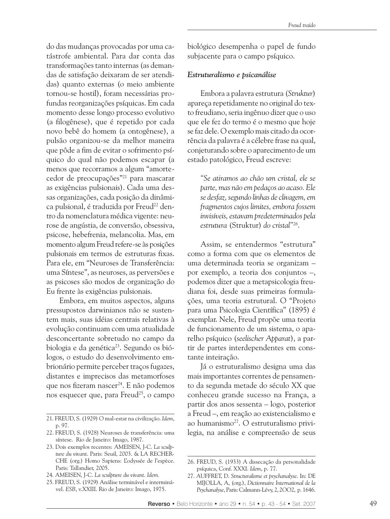do das mudanças provocadas por uma catástrofe ambiental. Para dar conta das transformações tanto internas (as demandas de satisfação deixaram de ser atendidas) quanto externas (o meio ambiente tornou-se hostil), foram necessárias profundas reorganizações psíquicas. Em cada momento desse longo processo evolutivo (a filogênese), que é repetido por cada novo bebê do homem (a ontogênese), a pulsão organizou-se da melhor maneira que pôde a fim de evitar o sofrimento psíquico do qual não podemos escapar (a menos que recorramos a algum "amortecedor de preocupações"<sup>21</sup> para mascarar as exigências pulsionais). Cada uma dessas organizações, cada posição da dinâmica pulsional, é traduzida por Freud<sup>22</sup> dentro da nomenclatura médica vigente: neurose de angústia, de conversão, obsessiva, psicose, hebefrenia, melancolia, Mas, em momento algum Freud refere-se às posições pulsionais em termos de estruturas fixas. Para ele, em "Neuroses de Transferência: uma Síntese", as neuroses, as perversões e as psicoses são modos de organização do Eu frente às exigências pulsionais.

Embora, em muitos aspectos, alguns pressupostos darwinianos não se sustentem mais, suas idéias centrais relativas à evolução continuam com uma atualidade desconcertante sobretudo no campo da biologia e da genética<sup>23</sup>. Segundo os biólogos, o estudo do desenvolvimento embrionário permite perceber tracos fugazes, distantes e imprecisos das metamorfoses que nos fizeram nascer<sup>24</sup>. E não podemos nos esquecer que, para Freud<sup>25</sup>, o campo biológico desempenha o papel de fundo subjacente para o campo psíquico.

## Estruturalismo e psicanálise

Embora a palavra estrutura (Struktur) apareça repetidamente no original do texto freudiano, seria ingênuo dizer que o uso que ele fez do termo é o mesmo que hoje se faz dele. O exemplo mais citado da ocorrência da palavra é a célebre frase na qual, conjeturando sobre o aparecimento de um estado patológico, Freud escreve:

"Se atiramos ao chão um cristal, ele se parte, mas não em pedaços ao acaso. Ele se desfaz, segundo linhas de clivagem, em fragmentos cujos limites, embora fossem invisíveis, estavam predeterminados pela estrutura (Struktur) do cristal"26.

Assim, se entendermos "estrutura" como a forma com que os elementos de uma determinada teoria se organizam por exemplo, a teoria dos conjuntos -, podemos dizer que a metapsicologia freudiana foi, desde suas primeiras formulações, uma teoria estrutural. O "Projeto para uma Psicologia Científica" (1895) é exemplar. Nele, Freud propõe uma teoria de funcionamento de um sistema, o aparelho psíquico (seelischer Apparat), a partir de partes interdependentes em constante inteiração.

Já o estruturalismo designa uma das mais importantes correntes de pensamento da segunda metade do século XX que conheceu grande sucesso na França, a partir dos anos sessenta – logo, posterior a Freud -, em reação ao existencialismo e ao humanismo<sup>27</sup>. O estruturalismo privilegia, na análise e compreensão de seus

<sup>21.</sup> FREUD, S. (1929) O mal-estar na civilização. Idem, p. 97.

<sup>22.</sup> FREUD, S. (1928) Neuroses de transferência: uma síntese. Rio de Janeiro: Imago, 1987.

<sup>23.</sup> Dois exemplos recentes: AMEISEN, J-C. La sculpture du vivant. Paris: Seuil, 2003. & LA RECHER-CHE (org.) Homo Sapiens: L'odyssée de l'espèce. Paris: Tallandier, 2005.

<sup>24.</sup> AMEISEN, J-C. La sculpture du vivant. Idem.

<sup>25.</sup> FREUD, S. (1929) Análise terminável e interminável. ESB, v.XXIII. Rio de Janeiro: Imago, 1975.

<sup>26.</sup> FREUD, S. (1933) A dissecação da personalidade psíquica, Conf. XXXI. Idem, p. 77.

<sup>27.</sup> AUFFRET, D. Structuralisme et psychanalyse. In: DE MIJOLLA, A, (org.), Dictionnaire International de la Psychanalyse, Paris: Calmann-Lévy, 2, 2002, p. 1646.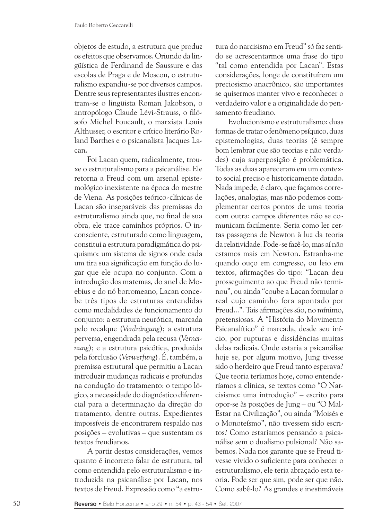objetos de estudo, a estrutura que produz os efeitos que observamos. Oriundo da lingüística de Ferdinand de Saussure e das escolas de Praga e de Moscou, o estruturalismo expandiu-se por diversos campos. Dentre seus representantes ilustres encontram-se o lingüista Roman Jakobson, o antropólogo Claude Lévi-Strauss, o filósofo Michel Foucault, o marxista Louis Althusser, o escritor e crítico literário Roland Barthes e o psicanalista Jacques Lacan.

Foi Lacan quem, radicalmente, trouxe o estruturalismo para a psicanálise. Ele retorna a Freud com um arsenal epistemológico inexistente na época do mestre de Viena. As posições teórico-clínicas de Lacan são inseparáveis das premissas do estruturalismo ainda que, no final de sua obra, ele trace caminhos próprios. O inconsciente, estruturado como linguagem, constitui a estrutura paradigmática do psiquismo: um sistema de signos onde cada um tira sua significação em função do lugar que ele ocupa no conjunto. Com a introdução dos matemas, do anel de Moebius e do nó borromeano, Lacan concebe três tipos de estruturas entendidas como modalidades de funcionamento do conjunto: a estrutura neurótica, marcada pelo recalque (Verdrängung); a estrutura perversa, engendrada pela recusa (Verneinung); e a estrutura psicótica, produzida pela forclusão (Verwerfung). É, também, a premissa estrutural que permitiu a Lacan introduzir mudanças radicais e profundas na condução do tratamento: o tempo lógico, a necessidade do diagnóstico diferencial para a determinação da direção do tratamento, dentre outras. Expedientes impossíveis de encontrarem respaldo nas posições – evolutivas – que sustentam os textos freudianos.

A partir destas considerações, vemos quanto é incorreto falar de estrutura, tal como entendida pelo estruturalismo e introduzida na psicanálise por Lacan, nos textos de Freud. Expressão como "a estru-

tura do narcisismo em Freud" só faz sentido se acrescentarmos uma frase do tipo "tal como entendida por Lacan". Estas considerações, longe de constituírem um preciosismo anacrônico, são importantes se quisermos manter vivo e reconhecer o verdadeiro valor e a originalidade do pensamento freudiano.

Evolucionismo e estruturalismo: duas formas de tratar o fenômeno psíquico, duas epistemologias, duas teorias (é sempre bom lembrar que são teorias e não verdades) cuja superposição é problemática. Todas as duas apareceram em um contexto social preciso e historicamente datado. Nada impede, é claro, que façamos correlações, analogias, mas não podemos complementar certos pontos de uma teoria com outra: campos diferentes não se comunicam facilmente. Seria como ler certas passagens de Newton à luz da teoria da relatividade. Pode-se fazê-lo, mas aí não estamos mais em Newton. Estranha-me quando ouço em congresso, ou leio em textos, afirmações do tipo: "Lacan deu prosseguimento ao que Freud não terminou", ou ainda "coube a Lacan formular o real cujo caminho fora apontado por Freud...". Tais afirmações são, no mínimo, pretensiosas. A "História do Movimento Psicanalítico" é marcada, desde seu início, por rupturas e dissidências muitas delas radicais. Onde estaria a psicanálise hoje se, por algum motivo, Jung tivesse sido o herdeiro que Freud tanto esperava? Que teoria teríamos hoje, como entenderíamos a clínica, se textos como "O Narcisismo: uma introdução" - escrito para opor-se às posições de Jung – ou "O Mal-Estar na Civilização", ou ainda "Moisés e o Monoteísmo", não tivessem sido escritos? Como estaríamos pensando a psicanálise sem o dualismo pulsional? Não sabemos. Nada nos garante que se Freud tivesse vivido o suficiente para conhecer o estruturalismo, ele teria abraçado esta teoria. Pode ser que sim, pode ser que não. Como sabê-lo? As grandes e inestimáveis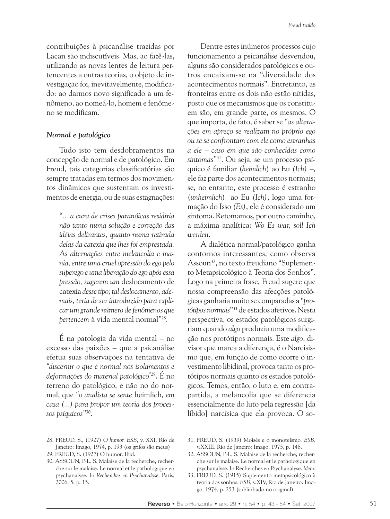contribuições à psicanálise trazidas por Lacan são indiscutíveis. Mas, ao fazê-las, utilizando as novas lentes de leitura pertencentes a outras teorias, o objeto de investigação foi, inevitavelmente, modificado: ao darmos novo significado a um fenômeno, ao nomeá-lo, homem e fenômeno se modificam.

## Normal e patológico

Tudo isto tem desdobramentos na concepção de normal e de patológico. Em Freud, tais categorias classificatórias são sempre tratadas em termos dos movimentos dinâmicos que sustentam os investimentos de energia, ou de suas estagnações:

"... a cura de crises paranóicas residiria não tanto numa solução e correção das idéias delirantes, quanto numa retirada delas da catexia que lhes foi emprestada. As alternações entre melancolia e mania, entre uma cruel opressão do ego pelo superego e uma liberação do ego após essa pressão, sugerem um deslocamento de catexia desse tipo; tal deslocamento, ademais, teria de ser introduzido para explicar um grande número de fenômenos que bertencem à vida mental normal"<sup>28</sup>.

É na patologia da vida mental – no excesso das paixões – que a psicanálise efetua suas observações na tentativa de "discernir o que é normal nos isolamentos e deformações do material patológico"<sup>29</sup>. É no terreno do patológico, e não no do normal, que "o analista se sente heimlich, em casa (...) para propor um teoria dos processos psíquicos"30.

Dentre estes inúmeros processos cujo funcionamento a psicanálise desvendou, alguns são considerados patológicos e outros encaixam-se na "diversidade dos acontecimentos normais". Entretanto, as fronteiras entre os dois não estão nítidas, posto que os mecanismos que os constituem são, em grande parte, os mesmos. O que importa, de fato, é saber se "as alteracões em apreco se realizam no próprio ego ou se se confrontam com ele como estranhas a ele – caso em que são conhecidas como sintomas"<sup>31</sup>. Ou seja, se um processo psíquico é familiar (heimlich) ao Eu (Ich) -, ele faz parte dos acontecimentos normais; se, no entanto, este processo é estranho (unheimlich) ao Eu (Ich), logo uma formação do Isso (Es), ele é considerado um sintoma. Retomamos, por outro caminho, a máxima analítica: Wo Es war, soll Ich werden.

A dialética normal/patológico ganha contornos interessantes, como observa Assoun<sup>32</sup>, no texto freudiano "Suplemento Metapsicológico à Teoria dos Sonhos". Logo na primeira frase, Freud sugere que nossa compreensão das afecções patológicas ganharia muito se comparadas a "protótibos normais"<sup>33</sup> de estados afetivos. Nesta perspectiva, os estados patológicos surgiriam quando algo produziu uma modificação nos protótipos normais. Este algo, divisor que marca a diferença, é o Narcisismo que, em função de como ocorre o investimento libidinal, provoca tanto os protótipos normais quanto os estados patológicos. Temos, então, o luto e, em contrapartida, a melancolia que se diferencia essencialmente do luto pela regressão [da libido] narcísica que ela provoca. O so-

<sup>28.</sup> FREUD, S., (1927) O humor. ESB, v. XXI. Rio de Janeiro: Imago, 1974, p. 193 (os grifos são meus) 29. FREUD, S. (1927) O humor. Ibid.

<sup>30.</sup> ASSOUN, P-L. S. Malaise de la recherche, recherche sur le malaise. Le normal et le pathologique en psychanalyse. In Recherches en Psychanalyse, Paris, 2006, 5, p. 15.

<sup>31.</sup> FREUD, S. (1939) Moisés e o monoteísmo. ESB, v.XXIII. Rio de Janeiro: Imago, 1975, p. 148.

<sup>32.</sup> ASSOUN, P-L. S. Malaise de la recherche, recherche sur le malaise. Le normal et le pathologique en psychanalyse. In Recherches en Psychanalyse. Idem.

<sup>33.</sup> FREUD, S. (1915) Suplemento metapsicológico à teoria dos sonhos. ESB, v.XIV, Rio de Janeiro: Imago, 1974, p. 253 (sublinhado no original)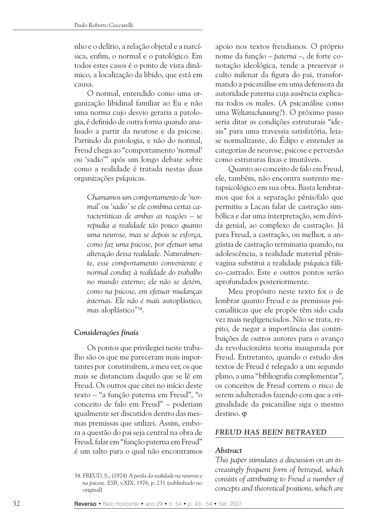nho e o delírio, a relação objetal e a narcísica, enfim, o normal e o patológico. Em todos estes casos é o ponto de vista dinâmico, a localização da libido, que está em causa.

O normal, entendido como uma organização libidinal familiar ao Eu e não uma norma cujo desvio geraria a patologia, é definido de outra forma quando analisado a partir da neurose e da psicose. Partindo da patologia, e não do normal, Freud chega ao "comportamento 'normal' ou 'sadio'" após um longo debate sobre como a realidade é tratada nestas duas organizações psíquicas.

Chamamos um comportamento de 'normal' ou 'sadio' se ele combina certas características de ambas as reações - se repudia a realidade tão pouco quanto uma neurose, mas se depois se esforça, como faz uma psicose, por efetuar uma alteração dessa realidade. Naturalmente, esse comportamento conveniente e normal conduz à realidade do trabalho no mundo externo: ele não se detém. como na psicose, em efetuar mudanças internas. Ele não é mais autoplástico, mas aloplástico"34.

## Considerações finais

Os pontos que privilegiei neste trabalho são os que me pareceram mais importantes por constituírem, a meu ver, os que mais se distanciam daquilo que se lê em Freud. Os outros que citei no início deste texto – "a função paterna em Freud", "o conceito de falo em Freud" - poderiam igualmente ser discutidos dentro das mesmas premissas que utilizei. Assim, embora a questão do pai seja central na obra de Freud, falar em "função paterna em Freud" é um salto para o qual não encontramos

apoio nos textos freudianos. O próprio nome da função – *baterna* –, de forte conotação ideológica, tende a preservar o culto milenar da figura do pai, transformando a psicanálise em uma defensora da autoridade paterna cuja ausência explicaria todos os males. (A psicanálise como uma Weltanschauung?). O próximo passo seria ditar as condições estruturais "ideais" para uma travessia satisfatória, leiase normalizante, do Édipo e entender as categorias de neurose, psicose e perversão como estruturas fixas e imutáveis.

Quanto ao conceito de falo em Freud, ele, também, não encontra sustento metapsicológico em sua obra. Basta lembrarmos que foi a separação pênis/falo que permitiu a Lacan falar de castração simbólica e dar uma interpretação, sem dúvida genial, ao complexo de castração. Já para Freud, a castração, ou melhor, a angústia de castração terminaria quando, na adolescência, a realidade material pênisvagina substitui a realidade psíquica fálico-castrado. Este e outros pontos serão aprofundados posteriormente.

Meu propósito neste texto foi o de lembrar quanto Freud e as premissas psicanalíticas que ele propõe têm sido cada vez mais negligenciados. Não se trata, repito, de negar a importância das contribuições de outros autores para o avanço da revolucionária teoria inaugurada por Freud. Entretanto, quando o estudo dos textos de Freud é relegado a um segundo plano, a uma "bibliografia complementar", os conceitos de Freud correm o risco de serem adulterados fazendo com que a originalidade da psicanálise siga o mesmo destino. o

#### FREUD HAS BEEN BETRAYED

#### Abstract

This paper stimulates a discussion on an increasingly frequent form of betrayal, which consists of attributing to Freud a number of concepts and theoretical positions, which are

<sup>34.</sup> FREUD, S., (1924) A perda da realidade na neurose e na psicose. ESB, v.XIX, 1976, p. 231 (sublinhado no original)